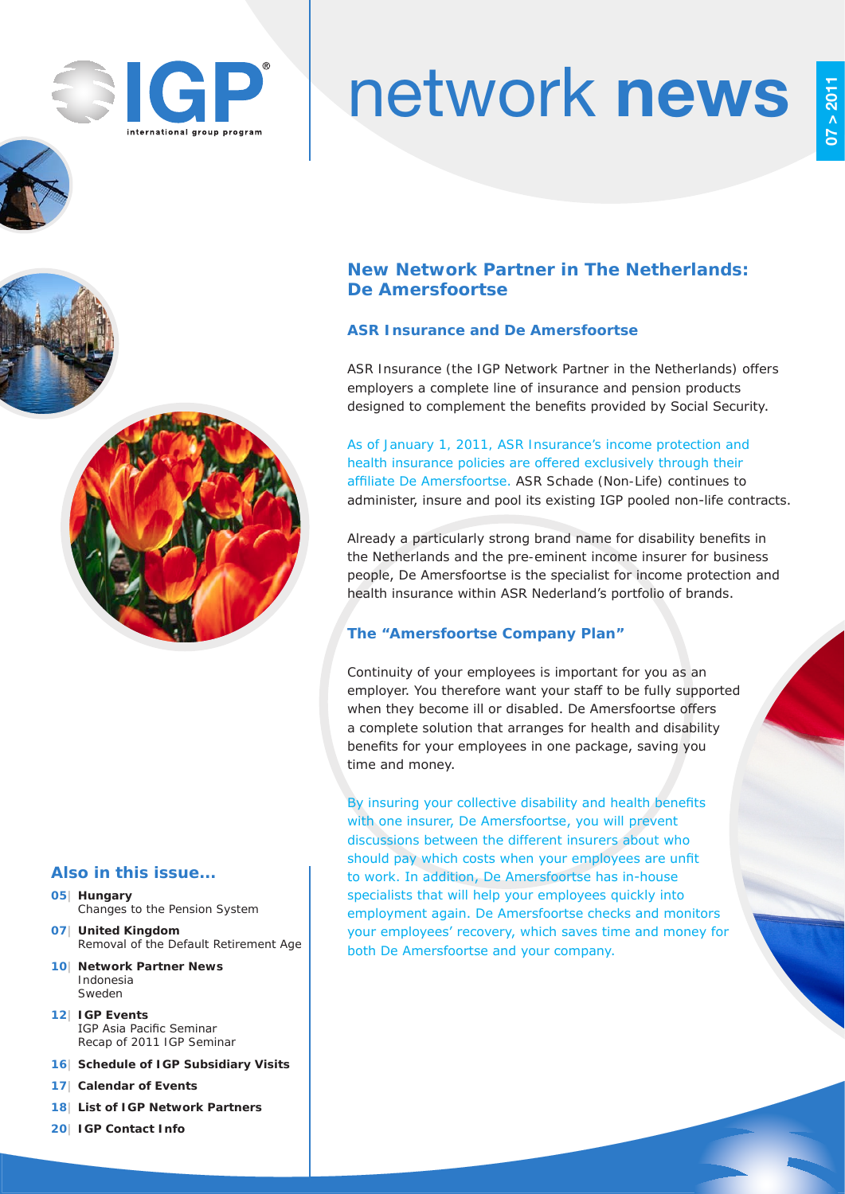

# network news

## **New Network Partner in The Netherlands: De Amersfoortse**

## **ASR Insurance and De Amersfoortse**

ASR Insurance (the IGP Network Partner in the Netherlands) offers employers a complete line of insurance and pension products designed to complement the benefits provided by Social Security.

As of January 1, 2011, ASR Insurance's income protection and health insurance policies are offered exclusively through their affiliate De Amersfoortse. ASR Schade (Non-Life) continues to administer, insure and pool its existing IGP pooled non-life contracts.

Already a particularly strong brand name for disability benefits in the Netherlands and the pre-eminent income insurer for business people, De Amersfoortse is the specialist for income protection and health insurance within ASR Nederland's portfolio of brands.

## **The "Amersfoortse Company Plan"**

Continuity of your employees is important for you as an employer. You therefore want your staff to be fully supported when they become ill or disabled. De Amersfoortse offers a complete solution that arranges for health and disability benefits for your employees in one package, saving you time and money.

By insuring your collective disability and health benefits with one insurer, De Amersfoortse, you will prevent discussions between the different insurers about who should pay which costs when your employees are unfit to work. In addition, De Amersfoortse has in-house specialists that will help your employees quickly into employment again. De Amersfoortse checks and monitors your employees' recovery, which saves time and money for both De Amersfoortse and your company.

## **Also in this issue...**

- **05| Hungary** Changes to the Pension System
- **07| United Kingdom** Removal of the Default Retirement Age
- **10| Network Partner News** Indonesia Sweden
- **12| IGP Events** IGP Asia Pacific Seminar Recap of 2011 IGP Seminar
- **16| Schedule of IGP Subsidiary Visits**
- **17| Calendar of Events**
- **18| List of IGP Network Partners**
- **20| IGP Contact Info**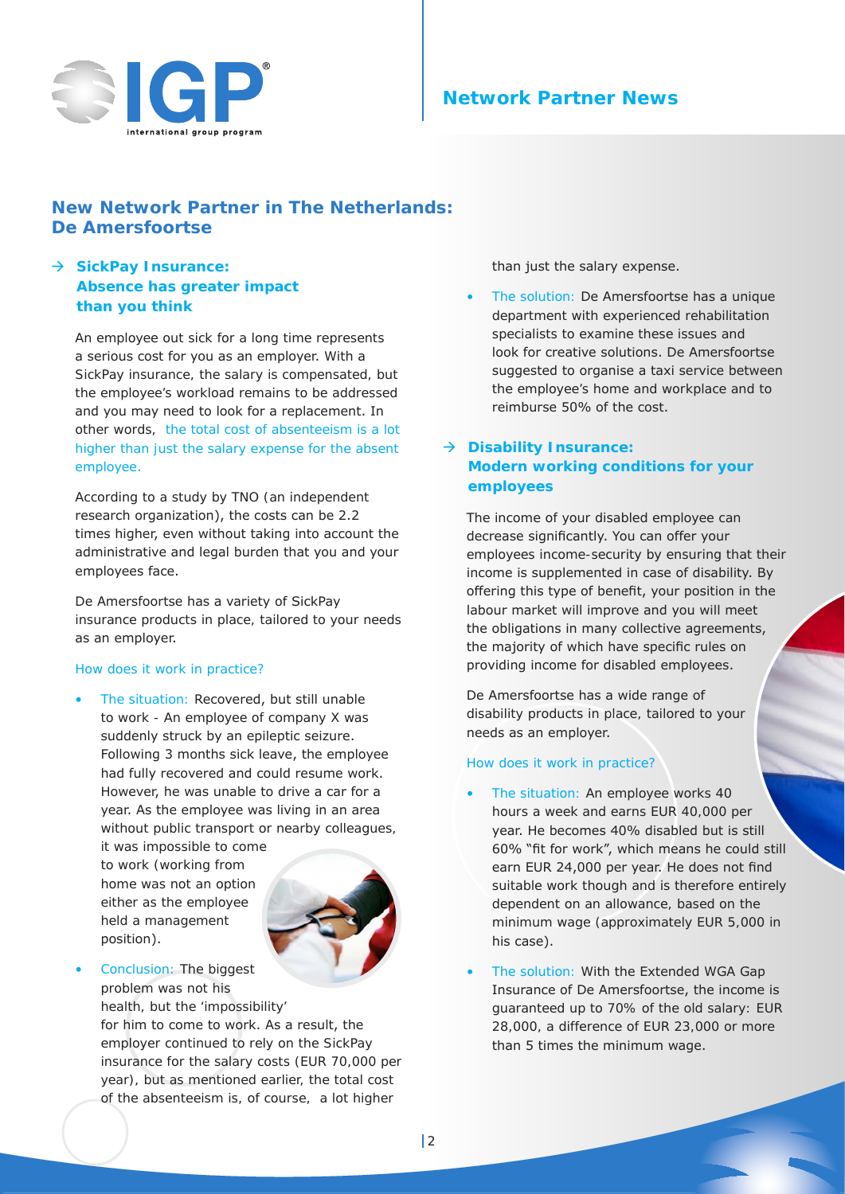

## **Network Partner News**

## **New Network Partner in The Netherlands: De Amersfoortse**

## → SickPay Insurance: **Absence has greater impact than you think**

An employee out sick for a long time represents a serious cost for you as an employer. With a SickPay insurance, the salary is compensated, but the employee's workload remains to be addressed and you may need to look for a replacement. In other words, the total cost of absenteeism is a lot higher than just the salary expense for the absent employee.

According to a study by TNO (an independent research organization), the costs can be 2.2 times higher, even without taking into account the administrative and legal burden that you and your employees face.

De Amersfoortse has a variety of SickPay insurance products in place, tailored to your needs as an employer.

#### *How does it work in practice?*

• The situation: Recovered, but still unable to work - An employee of company X was suddenly struck by an epileptic seizure. Following 3 months sick leave, the employee had fully recovered and could resume work. However, he was unable to drive a car for a year. As the employee was living in an area without public transport or nearby colleagues,

it was impossible to come to work (working from home was not an option either as the employee held a management position).



Conclusion: The biggest problem was not his

health, but the 'impossibility' for him to come to work. As a result, the employer continued to rely on the SickPay insurance for the salary costs (EUR 70,000 per year), but as mentioned earlier, the total cost of the absenteeism is, of course, a lot higher

than just the salary expense.

• The solution: De Amersfoortse has a unique department with experienced rehabilitation specialists to examine these issues and look for creative solutions. De Amersfoortse suggested to organise a taxi service between the employee's home and workplace and to reimburse 50% of the cost.

## Æ **Disability Insurance: Modern working conditions for your employees**

The income of your disabled employee can decrease significantly. You can offer your employees income-security by ensuring that their income is supplemented in case of disability. By offering this type of benefit, your position in the labour market will improve and you will meet the obligations in many collective agreements, the majority of which have specific rules on providing income for disabled employees.

De Amersfoortse has a wide range of disability products in place, tailored to your needs as an employer.

## *How does it work in practice?*

- The situation: An employee works 40 hours a week and earns EUR 40,000 per year. He becomes 40% disabled but is still 60% "fit for work", which means he could still earn EUR 24,000 per year. He does not find suitable work though and is therefore entirely dependent on an allowance, based on the minimum wage (approximately EUR 5,000 in his case).
- The solution: With the Extended WGA Gap Insurance of De Amersfoortse, the income is guaranteed up to 70% of the old salary: EUR 28,000, a difference of EUR 23,000 or more than 5 times the minimum wage.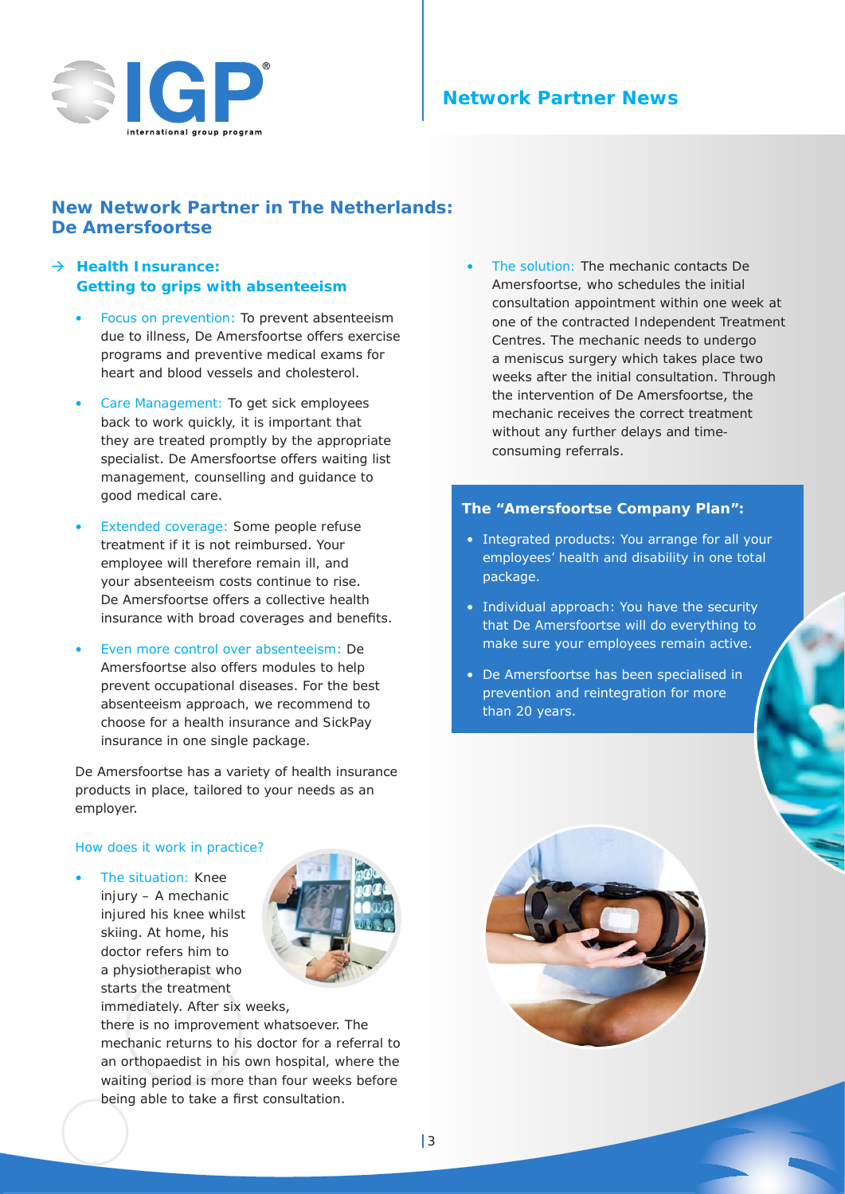

## **Network Partner News**

## **New Network Partner in The Netherlands: De Amersfoortse**

## → Health Insurance: **Getting to grips with absenteeism**

- Focus on prevention: To prevent absenteeism due to illness, De Amersfoortse offers exercise programs and preventive medical exams for heart and blood vessels and cholesterol.
- Care Management: To get sick employees back to work quickly, it is important that they are treated promptly by the appropriate specialist. De Amersfoortse offers waiting list management, counselling and guidance to good medical care.
- Extended coverage: Some people refuse treatment if it is not reimbursed. Your employee will therefore remain ill, and your absenteeism costs continue to rise. De Amersfoortse offers a collective health insurance with broad coverages and benefits.
- Even more control over absenteeism: De Amersfoortse also offers modules to help prevent occupational diseases. For the best absenteeism approach, we recommend to choose for a health insurance and SickPay insurance in one single package.

De Amersfoortse has a variety of health insurance products in place, tailored to your needs as an employer.

#### *How does it work in practice?*

• The situation: Knee injury – A mechanic injured his knee whilst skiing. At home, his doctor refers him to a physiotherapist who starts the treatment immediately. After six weeks,



there is no improvement whatsoever. The mechanic returns to his doctor for a referral to an orthopaedist in his own hospital, where the waiting period is more than four weeks before being able to take a first consultation.

• The solution: The mechanic contacts De Amersfoortse, who schedules the initial consultation appointment within one week at one of the contracted Independent Treatment Centres. The mechanic needs to undergo a meniscus surgery which takes place two weeks after the initial consultation. Through the intervention of De Amersfoortse, the mechanic receives the correct treatment without any further delays and timeconsuming referrals.

#### **The "Amersfoortse Company Plan":**

- Integrated products: You arrange for all your employees' health and disability in one total package.
- Individual approach: You have the security that De Amersfoortse will do everything to make sure your employees remain active.
- De Amersfoortse has been specialised in prevention and reintegration for more than 20 years.

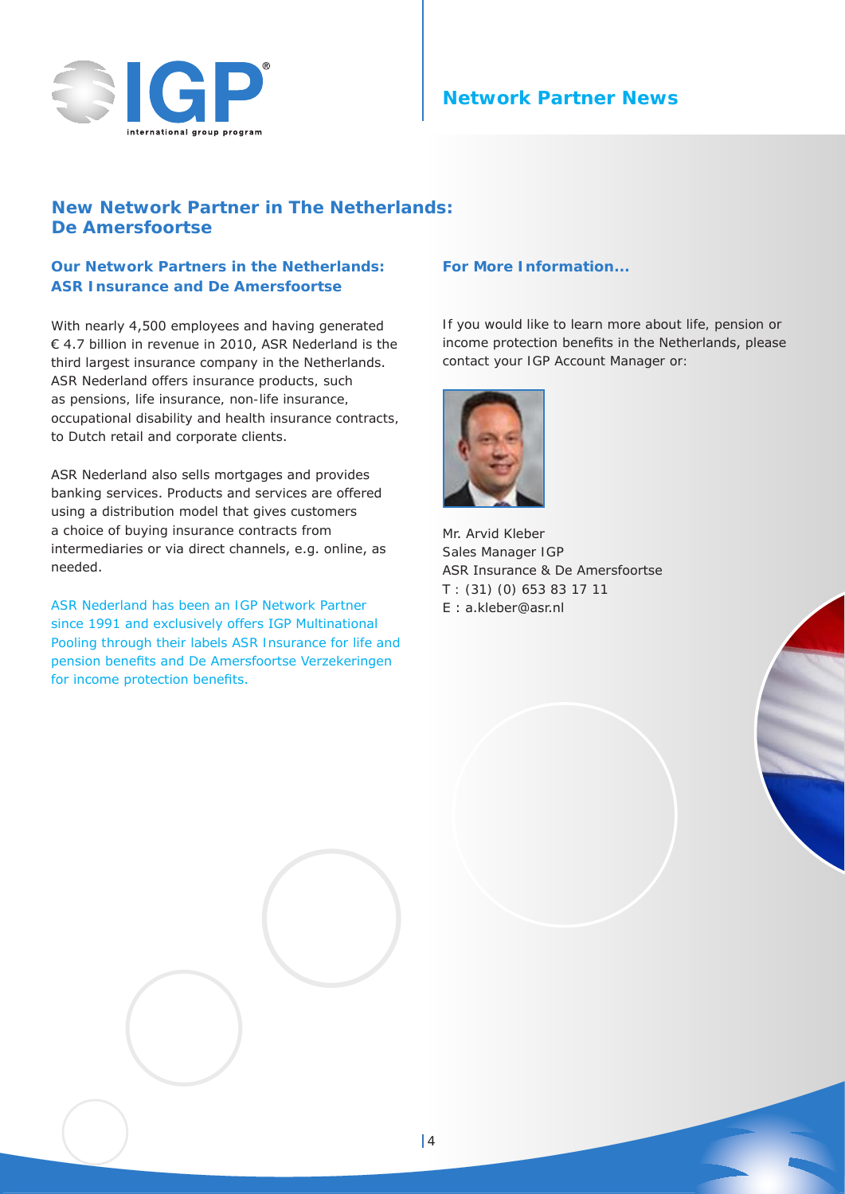

## **Network Partner News**

## **New Network Partner in The Netherlands: De Amersfoortse**

## **Our Network Partners in the Netherlands: ASR Insurance and De Amersfoortse**

With nearly 4,500 employees and having generated € 4.7 billion in revenue in 2010, ASR Nederland is the third largest insurance company in the Netherlands. ASR Nederland offers insurance products, such as pensions, life insurance, non-life insurance, occupational disability and health insurance contracts, to Dutch retail and corporate clients.

ASR Nederland also sells mortgages and provides banking services. Products and services are offered using a distribution model that gives customers a choice of buying insurance contracts from intermediaries or via direct channels, e.g. online, as needed.

ASR Nederland has been an IGP Network Partner since 1991 and exclusively offers IGP Multinational Pooling through their labels ASR Insurance for life and pension benefits and De Amersfoortse Verzekeringen for income protection benefits.

#### **For More Information...**

If you would like to learn more about life, pension or income protection benefits in the Netherlands, please contact your IGP Account Manager or:



Mr. Arvid Kleber Sales Manager IGP ASR Insurance & De Amersfoortse T : (31) (0) 653 83 17 11 E : a.kleber@asr.nl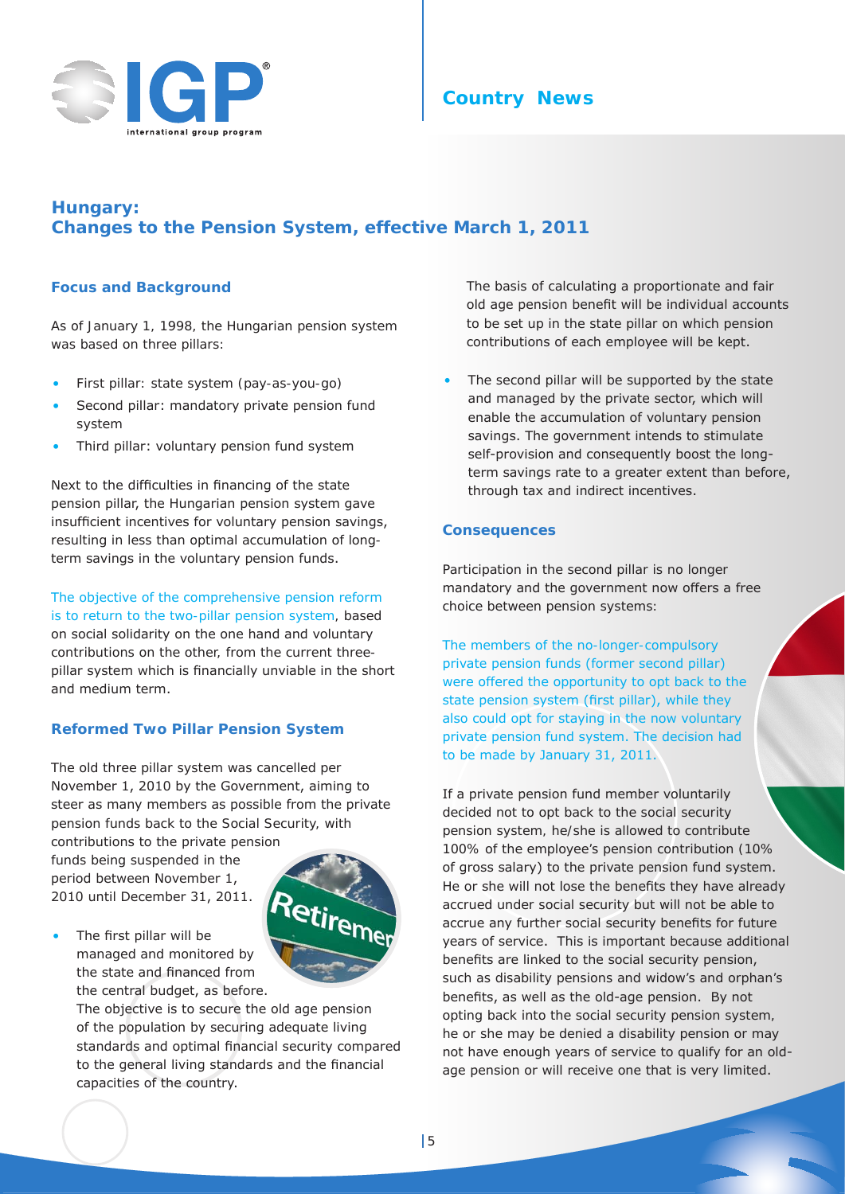

## **Hungary: Changes to the Pension System, effective March 1, 2011**

## **Focus and Background**

As of January 1, 1998, the Hungarian pension system was based on three pillars:

- First pillar: state system (pay-as-you-go)
- Second pillar: mandatory private pension fund system
- Third pillar: voluntary pension fund system

Next to the difficulties in financing of the state pension pillar, the Hungarian pension system gave insufficient incentives for voluntary pension savings, resulting in less than optimal accumulation of longterm savings in the voluntary pension funds.

The objective of the comprehensive pension reform is to return to the two-pillar pension system, based on social solidarity on the one hand and voluntary contributions on the other, from the current threepillar system which is financially unviable in the short and medium term.

## **Reformed Two Pillar Pension System**

The old three pillar system was cancelled per November 1, 2010 by the Government, aiming to steer as many members as possible from the private pension funds back to the Social Security, with

contributions to the private pension funds being suspended in the period between November 1, 2010 until December 31, 2011.

The first pillar will be



managed and monitored by the state and financed from the central budget, as before. The objective is to secure the old age pension

of the population by securing adequate living standards and optimal financial security compared to the general living standards and the financial capacities of the country.

The basis of calculating a proportionate and fair old age pension benefit will be individual accounts to be set up in the state pillar on which pension contributions of each employee will be kept.

The second pillar will be supported by the state and managed by the private sector, which will enable the accumulation of voluntary pension savings. The government intends to stimulate self-provision and consequently boost the longterm savings rate to a greater extent than before, through tax and indirect incentives.

## **Consequences**

Participation in the second pillar is no longer mandatory and the government now offers a free choice between pension systems:

The members of the no-longer-compulsory private pension funds (former second pillar) were offered the opportunity to opt back to the state pension system (first pillar), while they also could opt for staying in the now voluntary private pension fund system. The decision had to be made by January 31, 2011.

If a private pension fund member voluntarily decided not to opt back to the social security pension system, he/she is allowed to contribute 100% of the employee's pension contribution (10% of gross salary) to the private pension fund system. He or she will not lose the benefits they have already accrued under social security but will not be able to accrue any further social security benefits for future years of service. This is important because additional benefits are linked to the social security pension, such as disability pensions and widow's and orphan's benefits, as well as the old-age pension. By not opting back into the social security pension system, he or she may be denied a disability pension or may not have enough years of service to qualify for an oldage pension or will receive one that is very limited.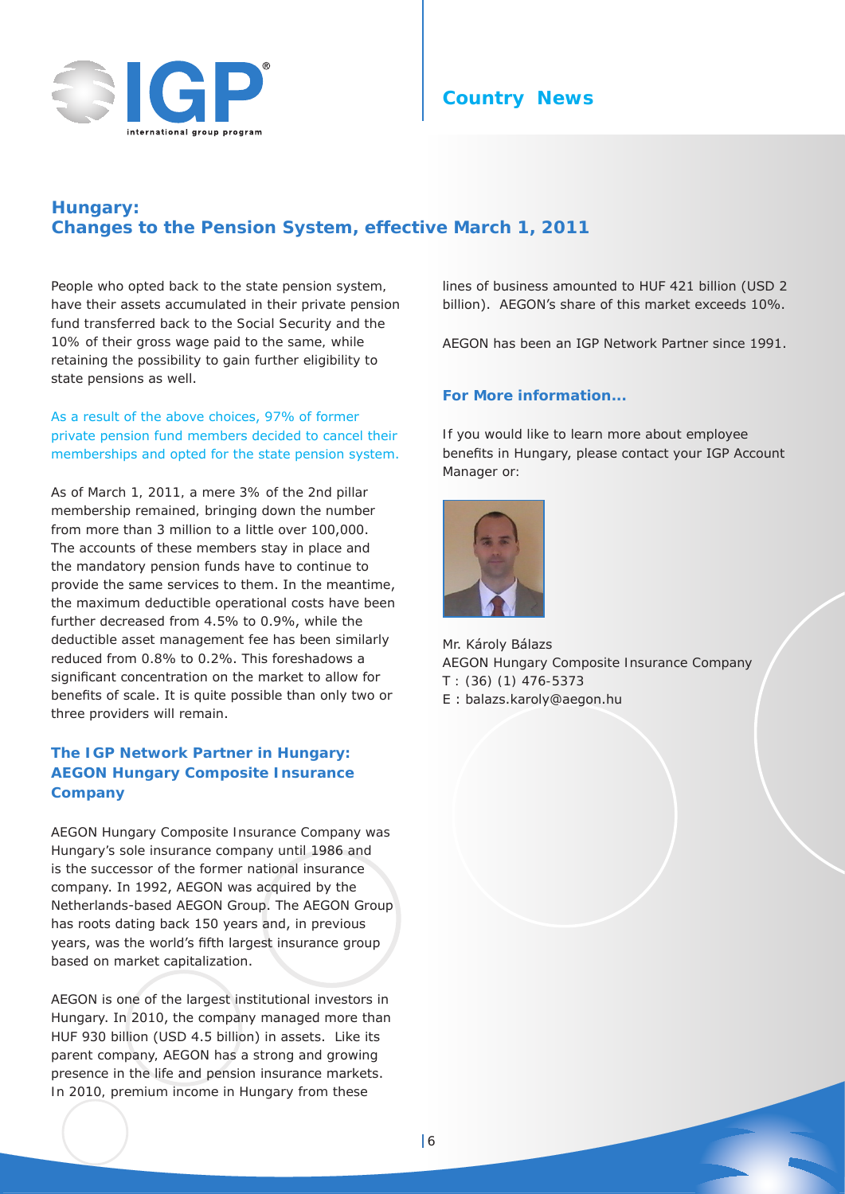

## **Country News**

## **Hungary: Changes to the Pension System, effective March 1, 2011**

People who opted back to the state pension system, have their assets accumulated in their private pension fund transferred back to the Social Security and the 10% of their gross wage paid to the same, while retaining the possibility to gain further eligibility to state pensions as well.

As a result of the above choices, 97% of former private pension fund members decided to cancel their memberships and opted for the state pension system.

As of March 1, 2011, a mere 3% of the 2nd pillar membership remained, bringing down the number from more than 3 million to a little over 100,000. The accounts of these members stay in place and the mandatory pension funds have to continue to provide the same services to them. In the meantime, the maximum deductible operational costs have been further decreased from 4.5% to 0.9%, while the deductible asset management fee has been similarly reduced from 0.8% to 0.2%. This foreshadows a significant concentration on the market to allow for benefits of scale. It is quite possible than only two or three providers will remain.

## **The IGP Network Partner in Hungary: AEGON Hungary Composite Insurance Company**

AEGON Hungary Composite Insurance Company was Hungary's sole insurance company until 1986 and is the successor of the former national insurance company. In 1992, AEGON was acquired by the Netherlands-based AEGON Group. The AEGON Group has roots dating back 150 years and, in previous years, was the world's fifth largest insurance group based on market capitalization.

AEGON is one of the largest institutional investors in Hungary. In 2010, the company managed more than HUF 930 billion (USD 4.5 billion) in assets. Like its parent company, AEGON has a strong and growing presence in the life and pension insurance markets. In 2010, premium income in Hungary from these

lines of business amounted to HUF 421 billion (USD 2 billion). AEGON's share of this market exceeds 10%.

AEGON has been an IGP Network Partner since 1991.

#### **For More information...**

If you would like to learn more about employee benefits in Hungary, please contact your IGP Account Manager or:



Mr. Károly Bálazs AEGON Hungary Composite Insurance Company T : (36) (1) 476-5373 E : balazs.karoly@aegon.hu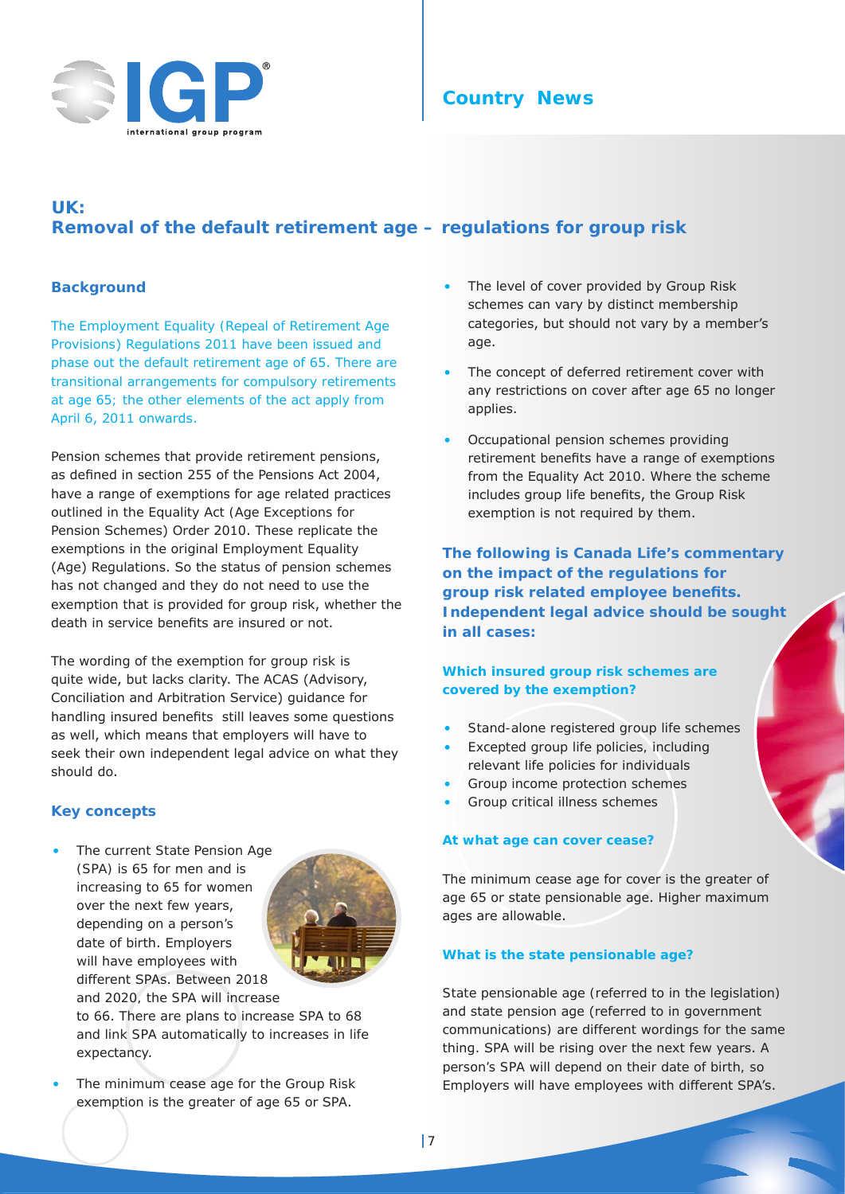

## **Country News**

# **UK: Removal of the default retirement age – regulations for group risk**

#### **Background**

The Employment Equality (Repeal of Retirement Age Provisions) Regulations 2011 have been issued and phase out the default retirement age of 65. There are transitional arrangements for compulsory retirements at age 65; the other elements of the act apply from April 6, 2011 onwards.

Pension schemes that provide retirement pensions, as defined in section 255 of the Pensions Act 2004, have a range of exemptions for age related practices outlined in the Equality Act (Age Exceptions for Pension Schemes) Order 2010. These replicate the exemptions in the original Employment Equality (Age) Regulations. So the status of pension schemes has not changed and they do not need to use the exemption that is provided for group risk, whether the death in service benefits are insured or not.

The wording of the exemption for group risk is quite wide, but lacks clarity. The ACAS (Advisory, Conciliation and Arbitration Service) guidance for handling insured benefits still leaves some questions as well, which means that employers will have to seek their own independent legal advice on what they should do.

## **Key concepts**

The current State Pension Age (SPA) is 65 for men and is increasing to 65 for women over the next few years, depending on a person's date of birth. Employers will have employees with different SPAs. Between 2018 and 2020, the SPA will increase



to 66. There are plans to increase SPA to 68 and link SPA automatically to increases in life expectancy.

The minimum cease age for the Group Risk exemption is the greater of age 65 or SPA.

- The level of cover provided by Group Risk schemes can vary by distinct membership categories, but should not vary by a member's age.
- The concept of deferred retirement cover with any restrictions on cover after age 65 no longer applies.
- Occupational pension schemes providing retirement benefits have a range of exemptions from the Equality Act 2010. Where the scheme includes group life benefits, the Group Risk exemption is not required by them.

**The following is Canada Life's commentary on the impact of the regulations for group risk related employee benefits. Independent legal advice should be sought in all cases:**

#### **Which insured group risk schemes are covered by the exemption?**

- Stand-alone registered group life schemes
- Excepted group life policies, including relevant life policies for individuals
- Group income protection schemes
- Group critical illness schemes

## **At what age can cover cease?**

The minimum cease age for cover is the greater of age 65 or state pensionable age. Higher maximum ages are allowable.

## **What is the state pensionable age?**

State pensionable age (referred to in the legislation) and state pension age (referred to in government communications) are different wordings for the same thing. SPA will be rising over the next few years. A person's SPA will depend on their date of birth, so Employers will have employees with different SPA's.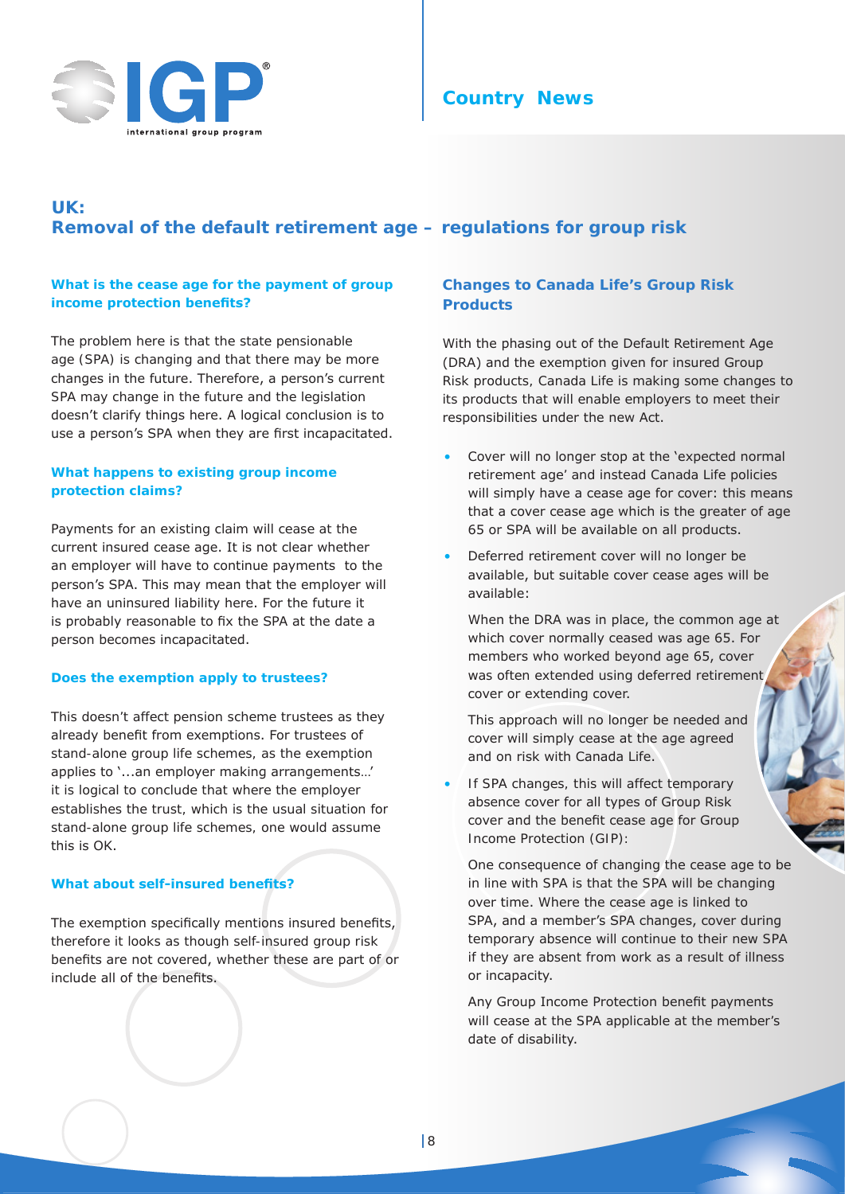



# **UK: Removal of the default retirement age – regulations for group risk**

#### **What is the cease age for the payment of group income protection benefits?**

The problem here is that the state pensionable age (SPA) is changing and that there may be more changes in the future. Therefore, a person's current SPA may change in the future and the legislation doesn't clarify things here. A logical conclusion is to use a person's SPA when they are first incapacitated.

## **What happens to existing group income protection claims?**

Payments for an existing claim will cease at the current insured cease age. It is not clear whether an employer will have to continue payments to the person's SPA. This may mean that the employer will have an uninsured liability here. For the future it is probably reasonable to fix the SPA at the date a person becomes incapacitated.

#### **Does the exemption apply to trustees?**

This doesn't affect pension scheme trustees as they already benefit from exemptions. For trustees of stand-alone group life schemes, as the exemption applies to '...an employer making arrangements…' it is logical to conclude that where the employer establishes the trust, which is the usual situation for stand-alone group life schemes, one would assume this is OK.

## **What about self-insured benefits?**

The exemption specifically mentions insured benefits, therefore it looks as though self-insured group risk benefits are not covered, whether these are part of or include all of the benefits.

## **Changes to Canada Life's Group Risk Products**

With the phasing out of the Default Retirement Age (DRA) and the exemption given for insured Group Risk products, Canada Life is making some changes to its products that will enable employers to meet their responsibilities under the new Act.

- Cover will no longer stop at the 'expected normal retirement age' and instead Canada Life policies will simply have a cease age for cover: this means that a cover cease age which is the greater of age 65 or SPA will be available on all products.
- Deferred retirement cover will no longer be available, but suitable cover cease ages will be available:

When the DRA was in place, the common age at which cover normally ceased was age 65. For members who worked beyond age 65, cover was often extended using deferred retirement cover or extending cover.

This approach will no longer be needed and cover will simply cease at the age agreed and on risk with Canada Life.

If SPA changes, this will affect temporary absence cover for all types of Group Risk cover and the benefit cease age for Group Income Protection (GIP):

One consequence of changing the cease age to be in line with SPA is that the SPA will be changing over time. Where the cease age is linked to SPA, and a member's SPA changes, cover during temporary absence will continue to their new SPA if they are absent from work as a result of illness or incapacity.

Any Group Income Protection benefit payments will cease at the SPA applicable at the member's date of disability.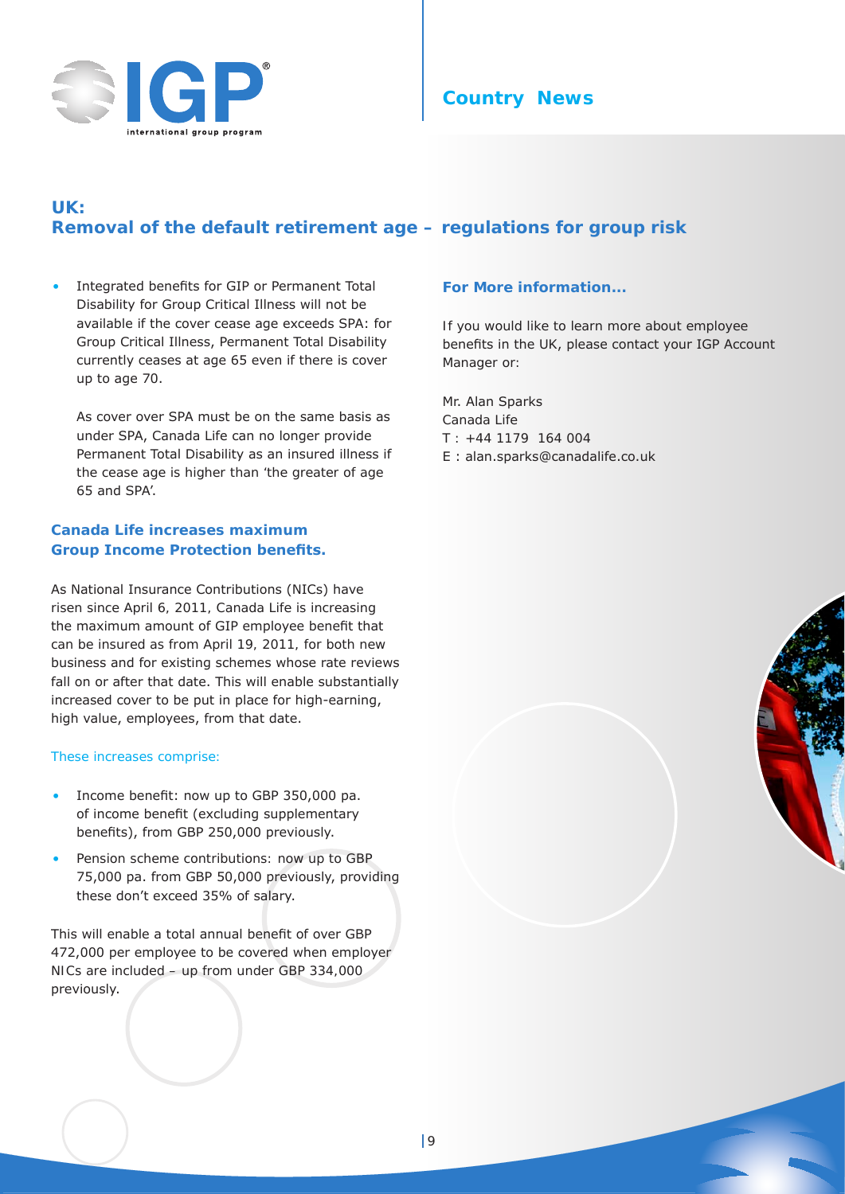



# **UK: Removal of the default retirement age – regulations for group risk**

• Integrated benefits for GIP or Permanent Total Disability for Group Critical Illness will not be available if the cover cease age exceeds SPA: for Group Critical Illness, Permanent Total Disability currently ceases at age 65 even if there is cover up to age 70.

As cover over SPA must be on the same basis as under SPA, Canada Life can no longer provide Permanent Total Disability as an insured illness if the cease age is higher than 'the greater of age 65 and SPA'.

## **Canada Life increases maximum Group Income Protection benefits.**

As National Insurance Contributions (NICs) have risen since April 6, 2011, Canada Life is increasing the maximum amount of GIP employee benefit that can be insured as from April 19, 2011, for both new business and for existing schemes whose rate reviews fall on or after that date. This will enable substantially increased cover to be put in place for high-earning, high value, employees, from that date.

#### These increases comprise:

- Income benefit: now up to GBP 350,000 pa. of income benefit (excluding supplementary benefits), from GBP 250,000 previously.
- Pension scheme contributions: now up to GBP 75,000 pa. from GBP 50,000 previously, providing these don't exceed 35% of salary.

This will enable a total annual benefit of over GBP 472,000 per employee to be covered when employer NICs are included – up from under GBP 334,000 previously.

#### **For More information...**

If you would like to learn more about employee benefits in the UK, please contact your IGP Account Manager or:

Mr. Alan Sparks Canada Life T : +44 1179 164 004 E : alan.sparks@canadalife.co.uk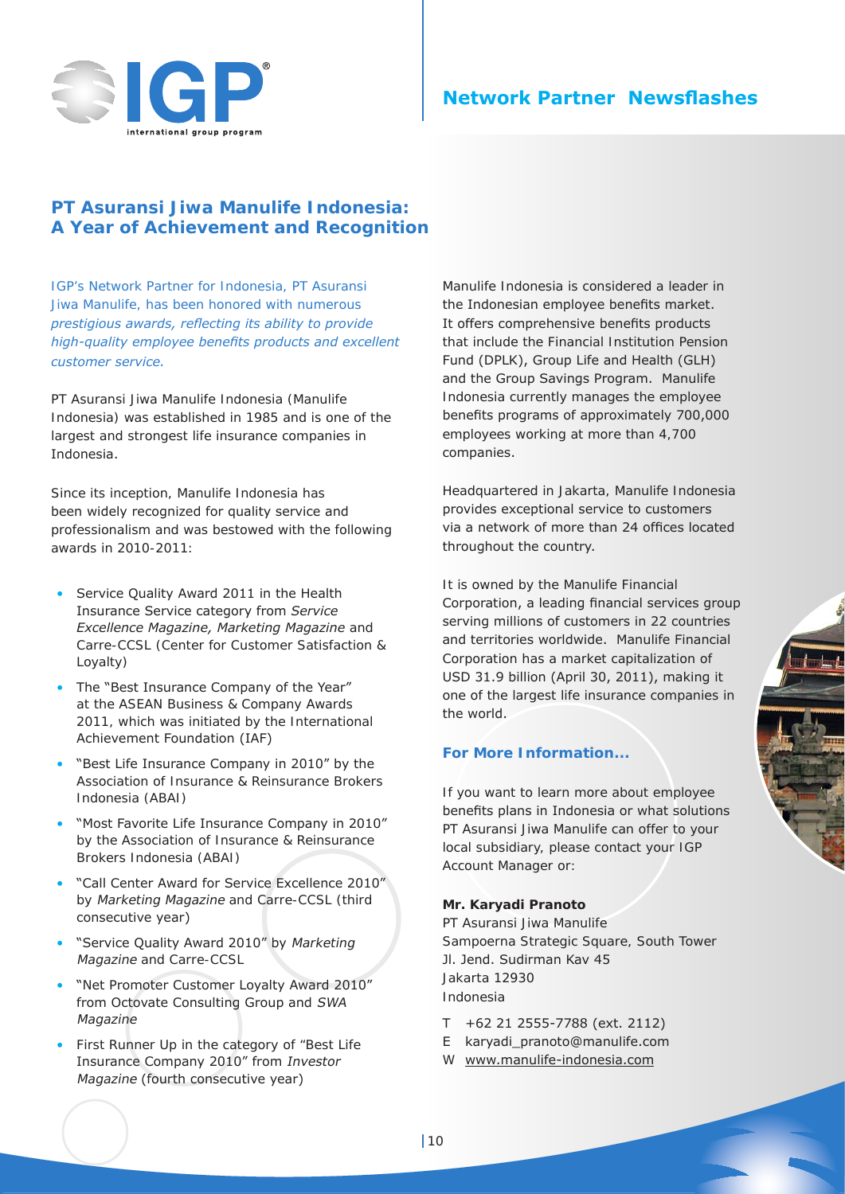

# **Network Partner Newsflashes**

## **PT Asuransi Jiwa Manulife Indonesia: A Year of Achievement and Recognition**

*IGP's Network Partner for Indonesia, PT Asuransi Jiwa Manulife, has been honored with numerous prestigious awards, reflecting its ability to provide high-quality employee benefits products and excellent customer service.*

PT Asuransi Jiwa Manulife Indonesia (Manulife Indonesia) was established in 1985 and is one of the largest and strongest life insurance companies in Indonesia.

Since its inception, Manulife Indonesia has been widely recognized for quality service and professionalism and was bestowed with the following awards in 2010-2011:

- Service Quality Award 2011 in the Health Insurance Service category from *Service Excellence Magazine, Marketing Magazine* and Carre-CCSL (Center for Customer Satisfaction & Loyalty)
- The "Best Insurance Company of the Year" at the ASEAN Business & Company Awards 2011, which was initiated by the International Achievement Foundation (IAF)
- "Best Life Insurance Company in 2010" by the Association of Insurance & Reinsurance Brokers Indonesia (ABAI)
- "Most Favorite Life Insurance Company in 2010" by the Association of Insurance & Reinsurance Brokers Indonesia (ABAI)
- "Call Center Award for Service Excellence 2010" by Marketing Magazine and Carre-CCSL (third consecutive year)
- "Service Quality Award 2010" by Marketing Magazine and Carre-CCSL
- "Net Promoter Customer Loyalty Award 2010" from Octovate Consulting Group and SWA Magazine
- First Runner Up in the category of "Best Life Insurance Company 2010" from Investor Magazine (fourth consecutive year)

Manulife Indonesia is considered a leader in the Indonesian employee benefits market. It offers comprehensive benefits products that include the Financial Institution Pension Fund (DPLK), Group Life and Health (GLH) and the Group Savings Program. Manulife Indonesia currently manages the employee benefits programs of approximately 700,000 employees working at more than 4,700 companies.

Headquartered in Jakarta, Manulife Indonesia provides exceptional service to customers via a network of more than 24 offices located throughout the country.

It is owned by the Manulife Financial Corporation, a leading financial services group serving millions of customers in 22 countries and territories worldwide. Manulife Financial Corporation has a market capitalization of USD 31.9 billion (April 30, 2011), making it one of the largest life insurance companies in the world.

## **For More Information...**

If you want to learn more about employee benefits plans in Indonesia or what solutions PT Asuransi Jiwa Manulife can offer to your local subsidiary, please contact your IGP Account Manager or:

## **Mr. Karyadi Pranoto**

PT Asuransi Jiwa Manulife Sampoerna Strategic Square, South Tower Jl. Jend. Sudirman Kav 45 Jakarta 12930 Indonesia

- T +62 21 2555-7788 (ext. 2112)
- E karyadi\_pranoto@manulife.com
- W www.manulife-indonesia.com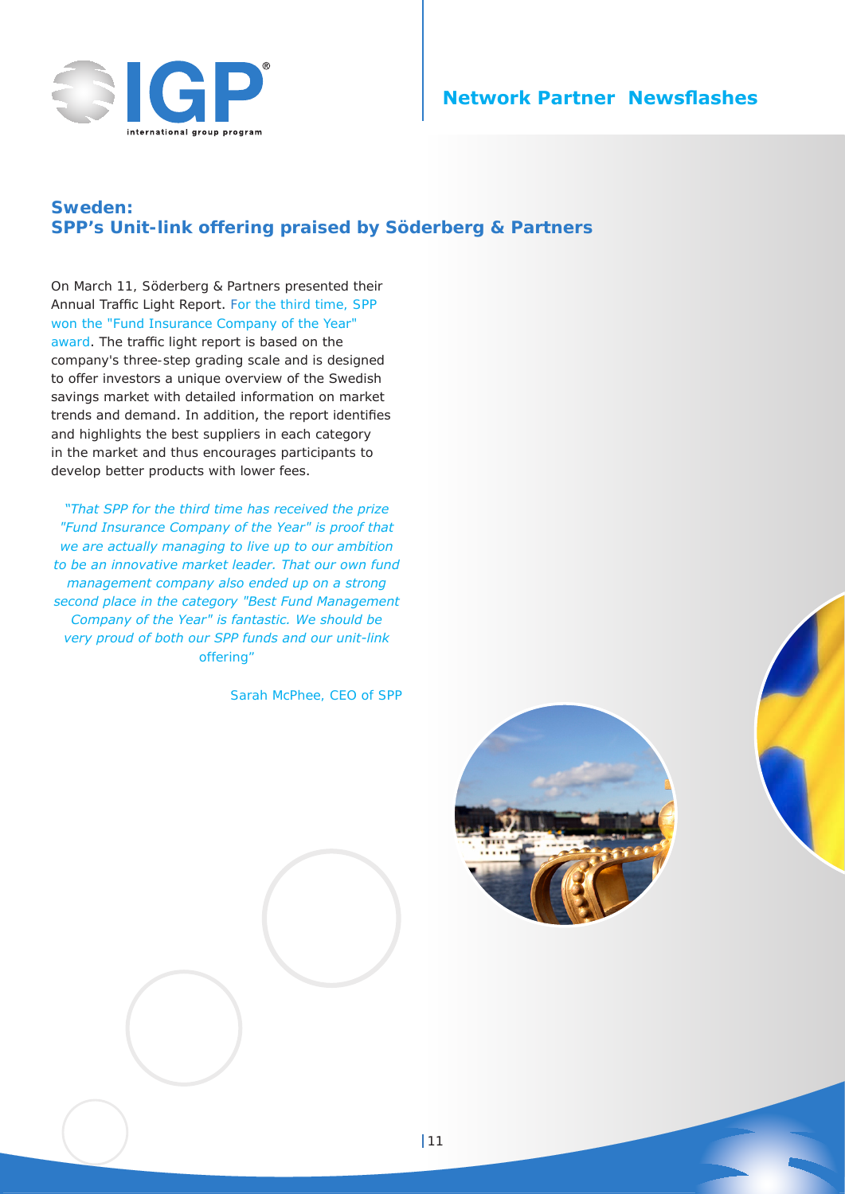

## **Network Partner Newsflashes**

## **Sweden: SPP's Unit-link offering praised by Söderberg & Partners**

On March 11, Söderberg & Partners presented their Annual Traffic Light Report. For the third time, SPP won the "Fund Insurance Company of the Year" award. The traffic light report is based on the company's three-step grading scale and is designed to offer investors a unique overview of the Swedish savings market with detailed information on market trends and demand. In addition, the report identifies and highlights the best suppliers in each category in the market and thus encourages participants to develop better products with lower fees.

*"That SPP for the third time has received the prize "Fund Insurance Company of the Year" is proof that we are actually managing to live up to our ambition to be an innovative market leader. That our own fund management company also ended up on a strong second place in the category "Best Fund Management Company of the Year" is fantastic. We should be very proud of both our SPP funds and our unit-link offering"*

Sarah McPhee, CEO of SPP

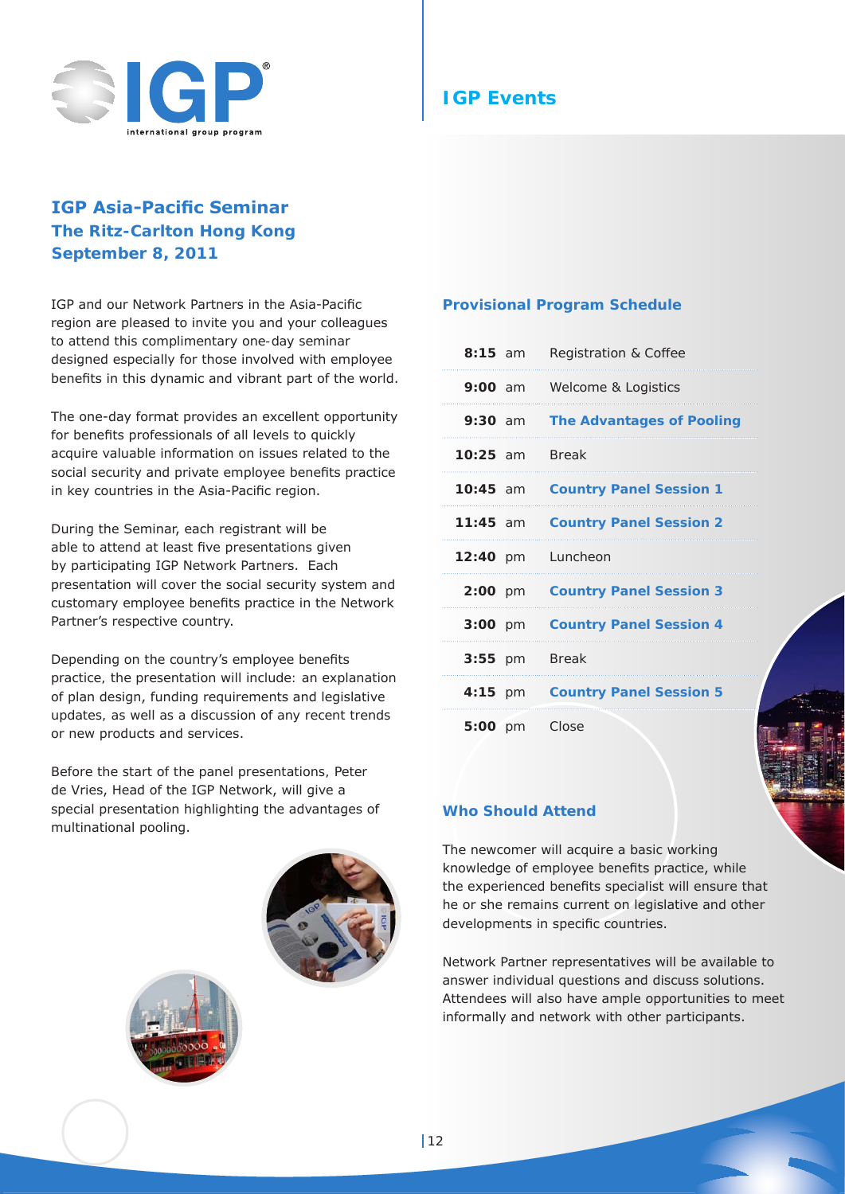

## **IGP Asia-Pacific Seminar The Ritz-Carlton Hong Kong September 8, 2011**

IGP and our Network Partners in the Asia-Pacific region are pleased to invite you and your colleagues to attend this complimentary one-day seminar designed especially for those involved with employee benefits in this dynamic and vibrant part of the world.

The one-day format provides an excellent opportunity for benefits professionals of all levels to quickly acquire valuable information on issues related to the social security and private employee benefits practice in key countries in the Asia-Pacific region.

During the Seminar, each registrant will be able to attend at least five presentations given by participating IGP Network Partners. Each presentation will cover the social security system and customary employee benefits practice in the Network Partner's respective country.

Depending on the country's employee benefits practice, the presentation will include: an explanation of plan design, funding requirements and legislative updates, as well as a discussion of any recent trends or new products and services.

Before the start of the panel presentations, Peter de Vries, Head of the IGP Network, will give a special presentation highlighting the advantages of multinational pooling.





## **Provisional Program Schedule**

| $8:15$ am           | Registration & Coffee            |
|---------------------|----------------------------------|
|                     | 9:00 am Welcome & Logistics      |
| $9:30$ am           | <b>The Advantages of Pooling</b> |
| <b>10:25 am</b>     | <b>Break</b>                     |
| $10:45$ am          | <b>Country Panel Session 1</b>   |
| $11:45$ am          | <b>Country Panel Session 2</b>   |
| 12:40 pm Luncheon   |                                  |
| $2:00 \, \text{pm}$ | <b>Country Panel Session 3</b>   |
| $3:00$ pm           | <b>Country Panel Session 4</b>   |
| $3:55$ pm           | <b>Break</b>                     |
| $4:15$ pm           | <b>Country Panel Session 5</b>   |
| 5:00 pm Close       |                                  |

## **Who Should Attend**

The newcomer will acquire a basic working knowledge of employee benefits practice, while the experienced benefits specialist will ensure that he or she remains current on legislative and other developments in specific countries.

Network Partner representatives will be available to answer individual questions and discuss solutions. Attendees will also have ample opportunities to meet informally and network with other participants.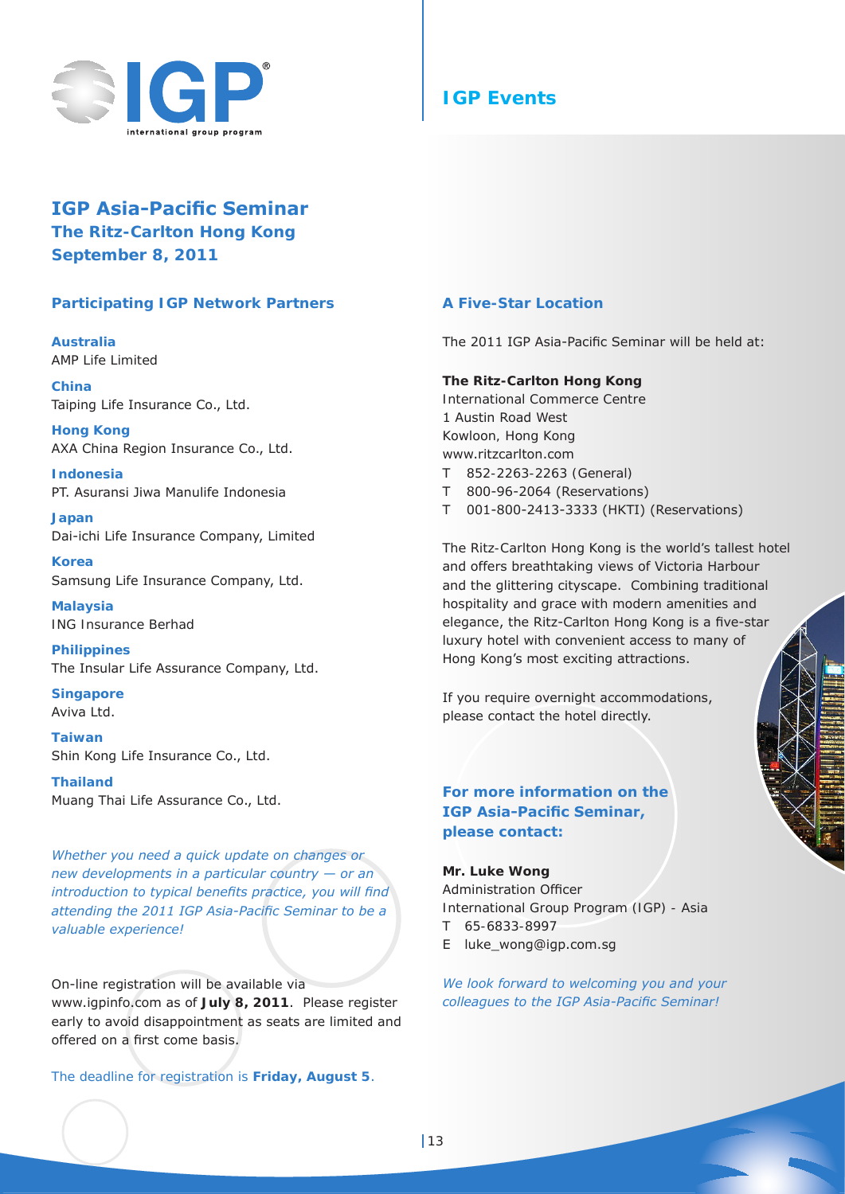

# **IGP Events**

## **IGP Asia-Pacific Seminar The Ritz-Carlton Hong Kong September 8, 2011**

## **Participating IGP Network Partners**

**Australia** AMP Life Limited

**China** Taiping Life Insurance Co., Ltd.

**Hong Kong** AXA China Region Insurance Co., Ltd.

**Indonesia** PT. Asuransi Jiwa Manulife Indonesia

**Japan** Dai-ichi Life Insurance Company, Limited

**Korea** Samsung Life Insurance Company, Ltd.

**Malaysia** ING Insurance Berhad

**Philippines** The Insular Life Assurance Company, Ltd.

**Singapore** Aviva Ltd.

**Taiwan** Shin Kong Life Insurance Co., Ltd.

**Thailand** Muang Thai Life Assurance Co., Ltd.

*Whether you need a quick update on changes or new developments in a particular country — or an introduction to typical benefits practice, you will find attending the 2011 IGP Asia-Pacific Seminar to be a valuable experience!*

On-line registration will be available via www.igpinfo.com as of **July 8, 2011**. Please register early to avoid disappointment as seats are limited and offered on a first come basis.

The deadline for registration is **Friday, August 5**.

## **A Five-Star Location**

The 2011 IGP Asia-Pacific Seminar will be held at:

#### **The Ritz-Carlton Hong Kong**

International Commerce Centre 1 Austin Road West Kowloon, Hong Kong www.ritzcarlton.com

- T 852-2263-2263 (General)
- T 800-96-2064 (Reservations)
- T 001-800-2413-3333 (HKTI) (Reservations)

The Ritz-Carlton Hong Kong is the world's tallest hotel and offers breathtaking views of Victoria Harbour and the glittering cityscape. Combining traditional hospitality and grace with modern amenities and elegance, the Ritz-Carlton Hong Kong is a five-star luxury hotel with convenient access to many of Hong Kong's most exciting attractions.

If you require overnight accommodations, please contact the hotel directly.

## **For more information on the IGP Asia-Pacific Seminar, please contact:**

**Mr. Luke Wong** Administration Officer International Group Program (IGP) - Asia

- T 65-6833-8997
- E luke\_wong@igp.com.sg

*We look forward to welcoming you and your colleagues to the IGP Asia-Pacific Seminar!*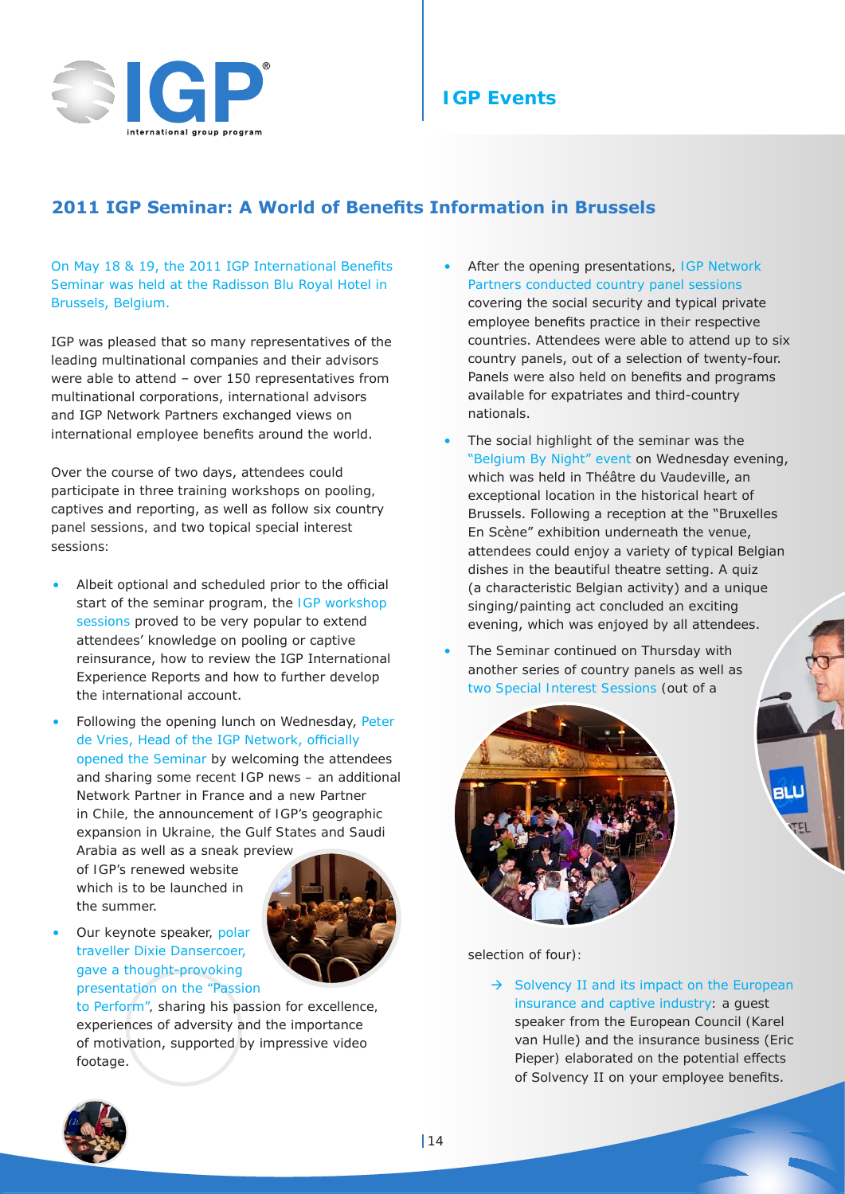

# **IGP Events**

# **2011 IGP Seminar: A World of Benefits Information in Brussels**

On May 18 & 19, the 2011 IGP International Benefits Seminar was held at the Radisson Blu Royal Hotel in Brussels, Belgium.

IGP was pleased that so many representatives of the leading multinational companies and their advisors were able to attend – over 150 representatives from multinational corporations, international advisors and IGP Network Partners exchanged views on international employee benefits around the world.

Over the course of two days, attendees could participate in three training workshops on pooling, captives and reporting, as well as follow six country panel sessions, and two topical special interest sessions:

- Albeit optional and scheduled prior to the official start of the seminar program, the IGP workshop sessions proved to be very popular to extend attendees' knowledge on pooling or captive reinsurance, how to review the IGP International Experience Reports and how to further develop the international account.
- Following the opening lunch on Wednesday, Peter de Vries, Head of the IGP Network, officially opened the Seminar by welcoming the attendees and sharing some recent IGP news – an additional Network Partner in France and a new Partner in Chile, the announcement of IGP's geographic expansion in Ukraine, the Gulf States and Saudi

Arabia as well as a sneak preview of IGP's renewed website which is to be launched in the summer.



Our keynote speaker, polar traveller Dixie Dansercoer, gave a thought-provoking presentation on the "Passion

> to Perform", sharing his passion for excellence, experiences of adversity and the importance of motivation, supported by impressive video footage.

- After the opening presentations, IGP Network Partners conducted country panel sessions covering the social security and typical private employee benefits practice in their respective countries. Attendees were able to attend up to six country panels, out of a selection of twenty-four. Panels were also held on benefits and programs available for expatriates and third-country nationals.
- The social highlight of the seminar was the "Belgium By Night" event on Wednesday evening, which was held in Théâtre du Vaudeville, an exceptional location in the historical heart of Brussels. Following a reception at the "Bruxelles En Scène" exhibition underneath the venue, attendees could enjoy a variety of typical Belgian dishes in the beautiful theatre setting. A quiz (a characteristic Belgian activity) and a unique singing/painting act concluded an exciting evening, which was enjoyed by all attendees.
- The Seminar continued on Thursday with another series of country panels as well as two Special Interest Sessions (out of a



selection of four):

 $\rightarrow$  Solvency II and its impact on the European insurance and captive industry: a guest speaker from the European Council (Karel van Hulle) and the insurance business (Eric Pieper) elaborated on the potential effects of Solvency II on your employee benefits.

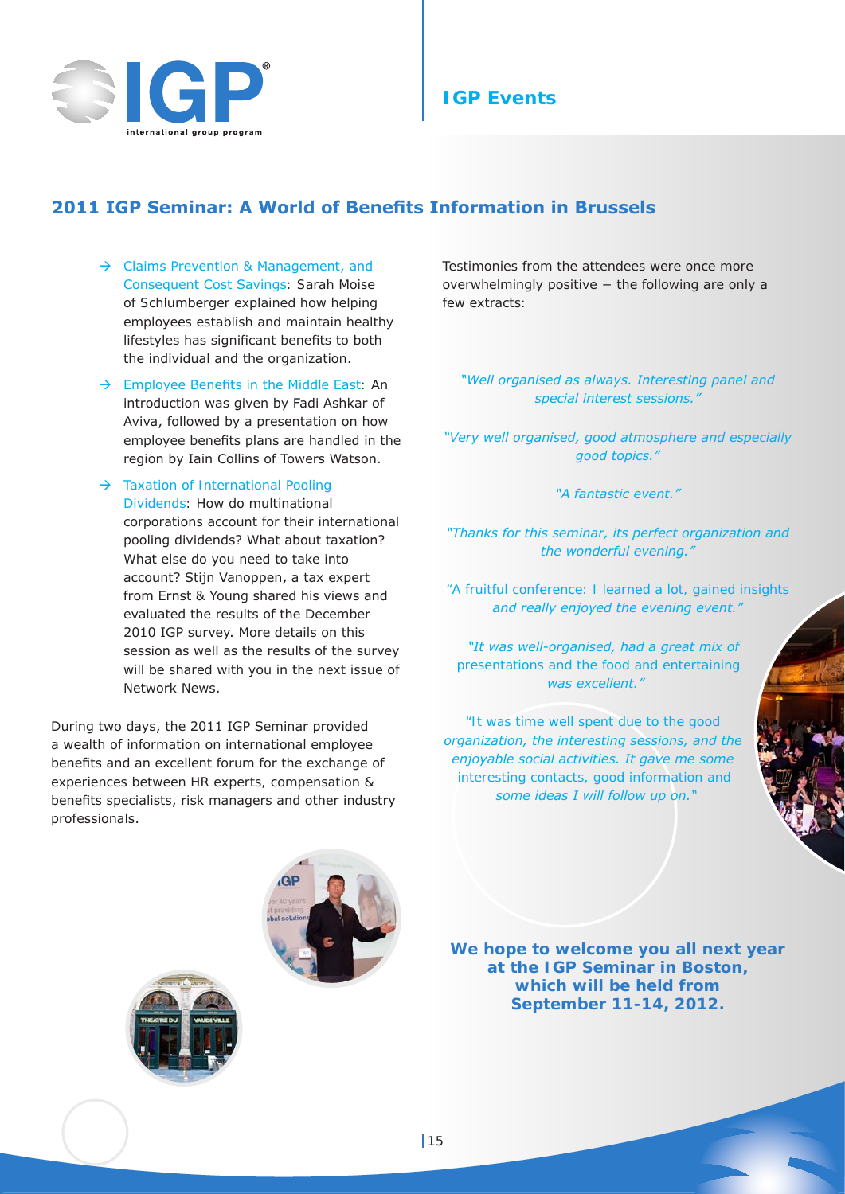

## **IGP Events**

## **2011 IGP Seminar: A World of Benefits Information in Brussels**

- $\rightarrow$  Claims Prevention & Management, and Consequent Cost Savings: Sarah Moise of Schlumberger explained how helping employees establish and maintain healthy lifestyles has significant benefits to both the individual and the organization.
- $\rightarrow$  Employee Benefits in the Middle East: An introduction was given by Fadi Ashkar of Aviva, followed by a presentation on how employee benefits plans are handled in the region by Iain Collins of Towers Watson.
- $\rightarrow$  Taxation of International Pooling Dividends: How do multinational corporations account for their international pooling dividends? What about taxation? What else do you need to take into account? Stijn Vanoppen, a tax expert from Ernst & Young shared his views and evaluated the results of the December 2010 IGP survey. More details on this session as well as the results of the survey will be shared with you in the next issue of Network News.

During two days, the 2011 IGP Seminar provided a wealth of information on international employee benefits and an excellent forum for the exchange of experiences between HR experts, compensation & benefits specialists, risk managers and other industry professionals.

Testimonies from the attendees were once more overwhelmingly positive − the following are only a few extracts:

*"Well organised as always. Interesting panel and special interest sessions."*

*"Very well organised, good atmosphere and especially good topics."*

*"A fantastic event."*

*"Thanks for this seminar, its perfect organization and the wonderful evening."*

*"A fruitful conference: I learned a lot, gained insights and really enjoyed the evening event."*

*"It was well-organised, had a great mix of presentations and the food and entertaining was excellent."*

*"It was time well spent due to the good organization, the interesting sessions, and the enjoyable social activities. It gave me some interesting contacts, good information and some ideas I will follow up on."*



**We hope to welcome you all next year at the IGP Seminar in Boston, which will be held from September 11-14, 2012.**

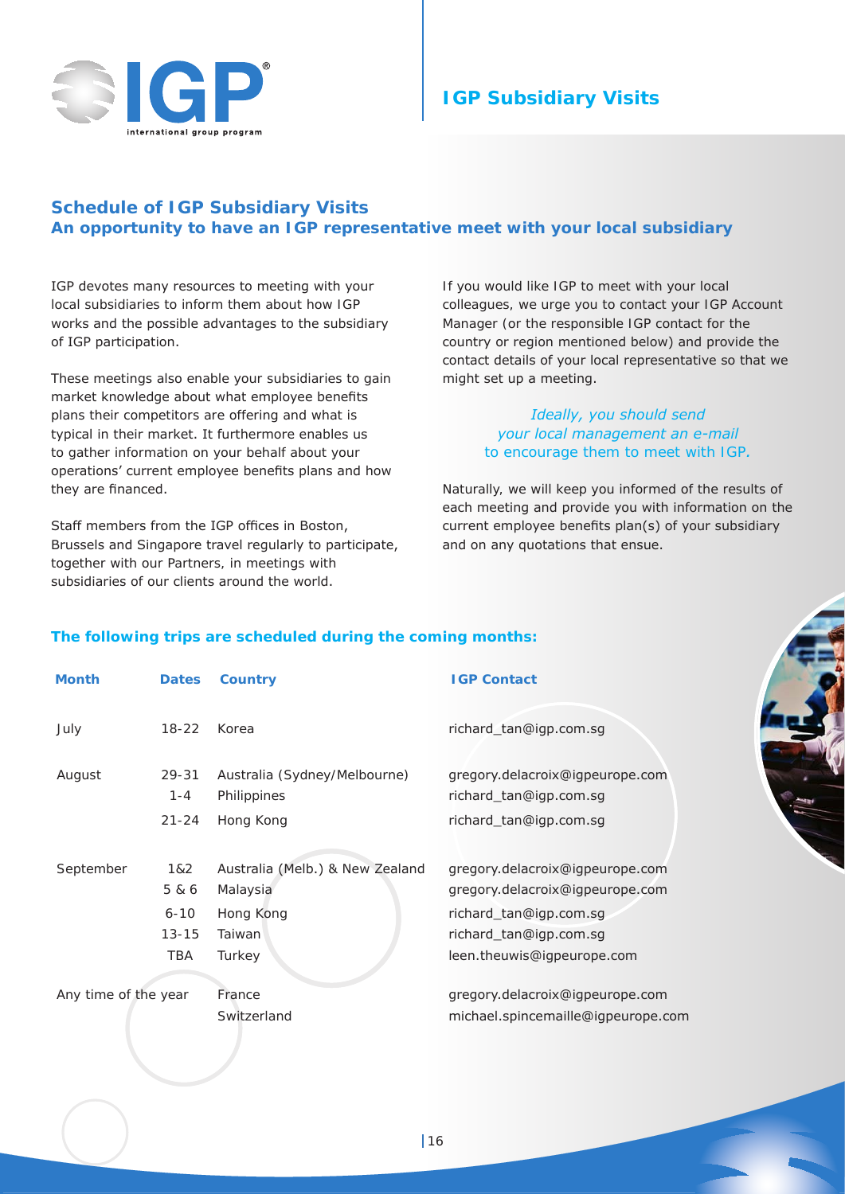

# **IGP Subsidiary Visits**

## **Schedule of IGP Subsidiary Visits An opportunity to have an IGP representative meet with your local subsidiary**

IGP devotes many resources to meeting with your local subsidiaries to inform them about how IGP works and the possible advantages to the subsidiary of IGP participation.

These meetings also enable your subsidiaries to gain market knowledge about what employee benefits plans their competitors are offering and what is typical in their market. It furthermore enables us to gather information on your behalf about your operations' current employee benefits plans and how they are financed.

Staff members from the IGP offices in Boston, Brussels and Singapore travel regularly to participate, together with our Partners, in meetings with subsidiaries of our clients around the world.

If you would like IGP to meet with your local colleagues, we urge you to contact your IGP Account Manager (or the responsible IGP contact for the country or region mentioned below) and provide the contact details of your local representative so that we might set up a meeting.

## *Ideally, you should send your local management an e-mail to encourage them to meet with IGP.*

Naturally, we will keep you informed of the results of each meeting and provide you with information on the current employee benefits plan(s) of your subsidiary and on any quotations that ensue.

## **The following trips are scheduled during the coming months:**

| <b>Month</b>         | <b>Dates</b>                                 | <b>Country</b>                                                               | <b>IGP Contact</b>                                                                                                                                   |
|----------------------|----------------------------------------------|------------------------------------------------------------------------------|------------------------------------------------------------------------------------------------------------------------------------------------------|
| July                 | $18 - 22$                                    | Korea                                                                        | richard_tan@igp.com.sg                                                                                                                               |
| August               | $29 - 31$<br>$1 - 4$<br>$21 - 24$            | Australia (Sydney/Melbourne)<br>Philippines<br>Hong Kong                     | gregory.delacroix@igpeurope.com<br>richard_tan@igp.com.sg<br>richard_tan@igp.com.sg                                                                  |
| September            | 1&2<br>5 & 6<br>$6 - 10$<br>$13 - 15$<br>TBA | Australia (Melb.) & New Zealand<br>Malaysia<br>Hong Kong<br>Taiwan<br>Turkey | gregory.delacroix@igpeurope.com<br>gregory.delacroix@igpeurope.com<br>richard_tan@igp.com.sg<br>richard_tan@igp.com.sg<br>leen.theuwis@igpeurope.com |
| Any time of the year |                                              | France<br>Switzerland                                                        | gregory.delacroix@igpeurope.com<br>michael.spincemaille@igpeurope.com                                                                                |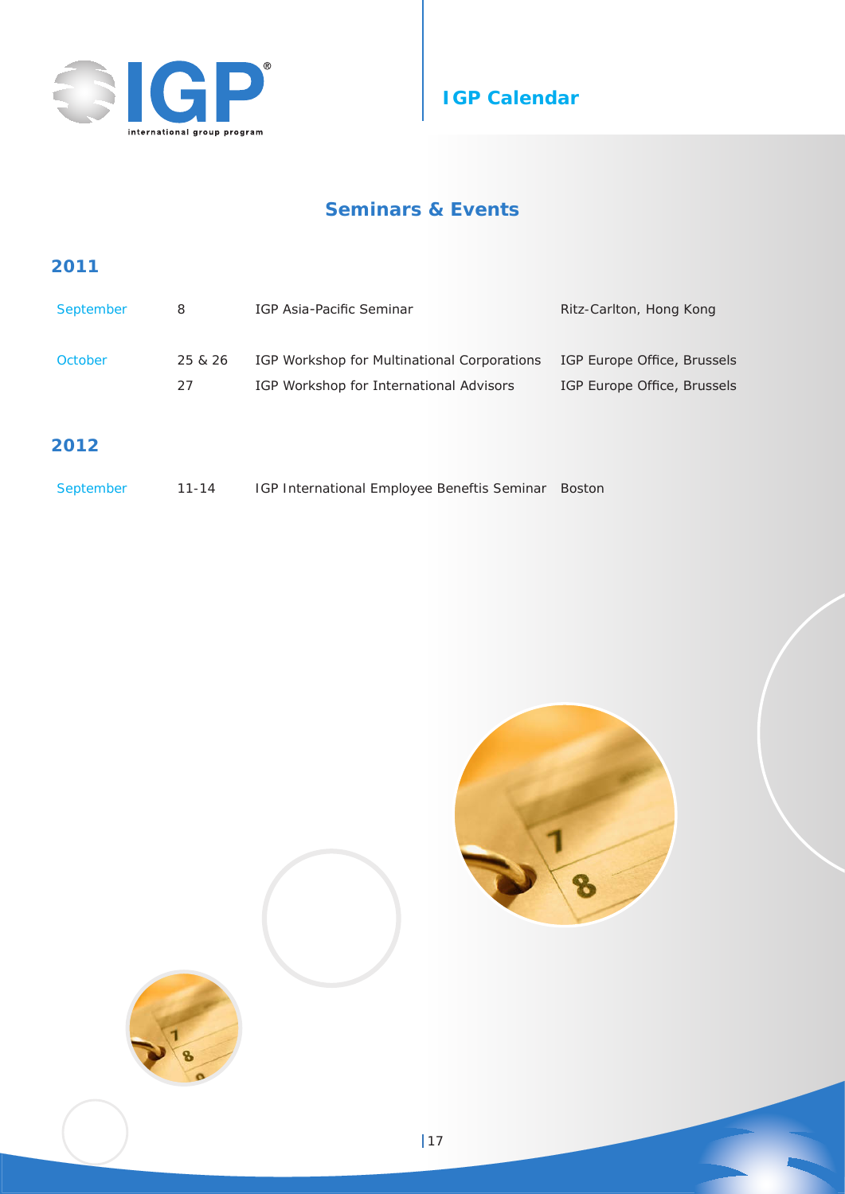



# **Seminars & Events**

## **2011**

| September | 8       | IGP Asia-Pacific Seminar                    | Ritz-Carlton, Hong Kong     |
|-----------|---------|---------------------------------------------|-----------------------------|
| October   | 25 & 26 | IGP Workshop for Multinational Corporations | IGP Europe Office, Brussels |
|           | 27      | IGP Workshop for International Advisors     | IGP Europe Office, Brussels |

## **2012**

| IGP International Employee Beneftis Seminar Boston<br>September<br>11-14 |  |
|--------------------------------------------------------------------------|--|
|--------------------------------------------------------------------------|--|



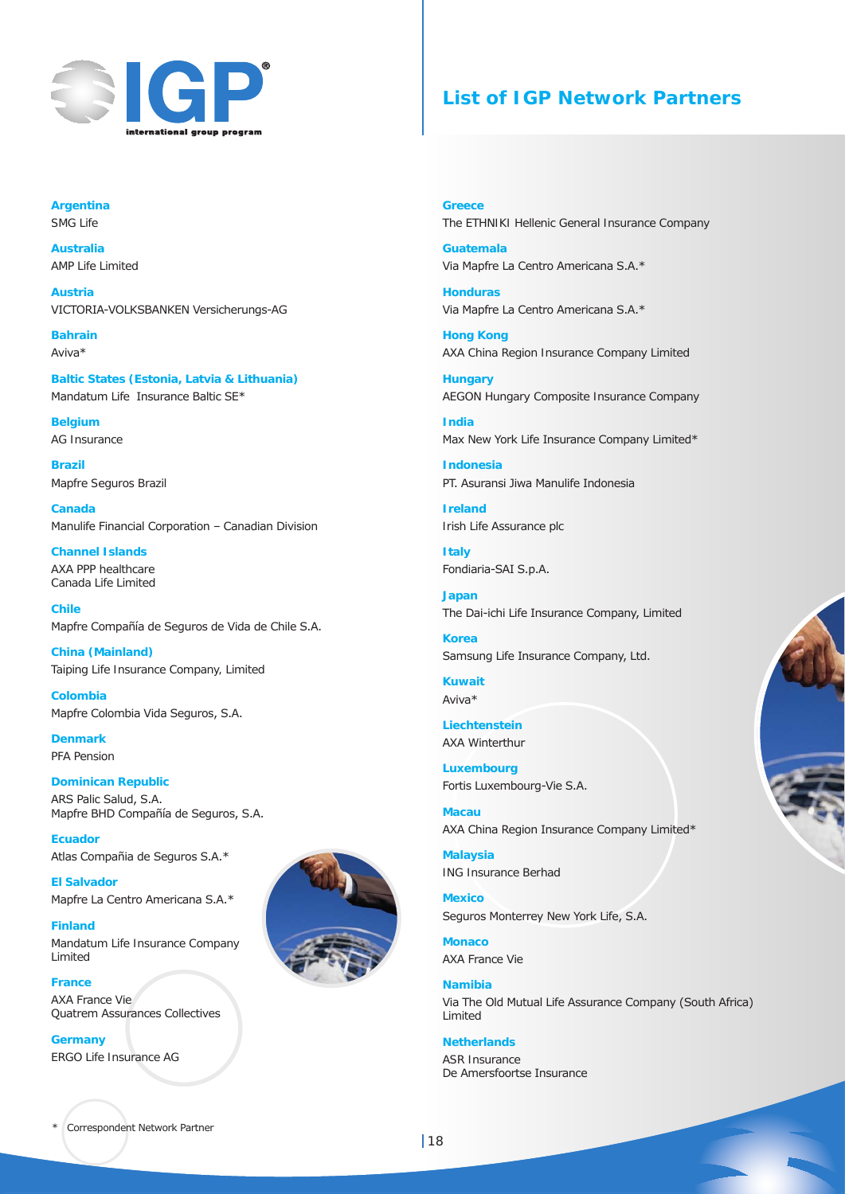

## **List of IGP Network Partners**

**Argentina** SMG Life

**Australia** AMP Life Limited

**Austria** VICTORIA-VOLKSBANKEN Versicherungs-AG

**Bahrain** Aviva\*

**Baltic States (Estonia, Latvia & Lithuania)** Mandatum Life Insurance Baltic SE\*

**Belgium** AG Insurance

**Brazil** Mapfre Seguros Brazil

**Canada** Manulife Financial Corporation – Canadian Division

**Channel Islands** AXA PPP healthcare Canada Life Limited

**Chile** Mapfre Compañía de Seguros de Vida de Chile S.A.

**China (Mainland)** Taiping Life Insurance Company, Limited

**Colombia** Mapfre Colombia Vida Seguros, S.A.

**Denmark** PFA Pension

#### **Dominican Republic** ARS Palic Salud, S.A. Mapfre BHD Compañía de Seguros, S.A.

**Ecuador** Atlas Compañia de Seguros S.A.\*

**El Salvador** Mapfre La Centro Americana S.A.\*

**Finland** Mandatum Life Insurance Company Limited

**France**  AXA France Vie Quatrem Assurances Collectives

**Germany** ERGO Life Insurance AG

**Greece** The ETHNIKI Hellenic General Insurance Company

**Guatemala** Via Mapfre La Centro Americana S.A.\*

**Honduras** Via Mapfre La Centro Americana S.A.\*

**Hong Kong** AXA China Region Insurance Company Limited

**Hungary** AEGON Hungary Composite Insurance Company

**India** Max New York Life Insurance Company Limited\*

**Indonesia** PT. Asuransi Jiwa Manulife Indonesia

**Ireland** Irish Life Assurance plc

**Italy** Fondiaria-SAI S.p.A.

**Japan** The Dai-ichi Life Insurance Company, Limited

**Korea** Samsung Life Insurance Company, Ltd.

**Kuwait** Aviva\*

**Liechtenstein** AXA Winterthur

**Luxembourg** Fortis Luxembourg-Vie S.A.

**Macau** AXA China Region Insurance Company Limited\*

**Malaysia** ING Insurance Berhad

**Mexico** Seguros Monterrey New York Life, S.A.

**Monaco** AXA France Vie

**Namibia** Via The Old Mutual Life Assurance Company (South Africa) Limited

**Netherlands** ASR Insurance De Amersfoortse Insurance

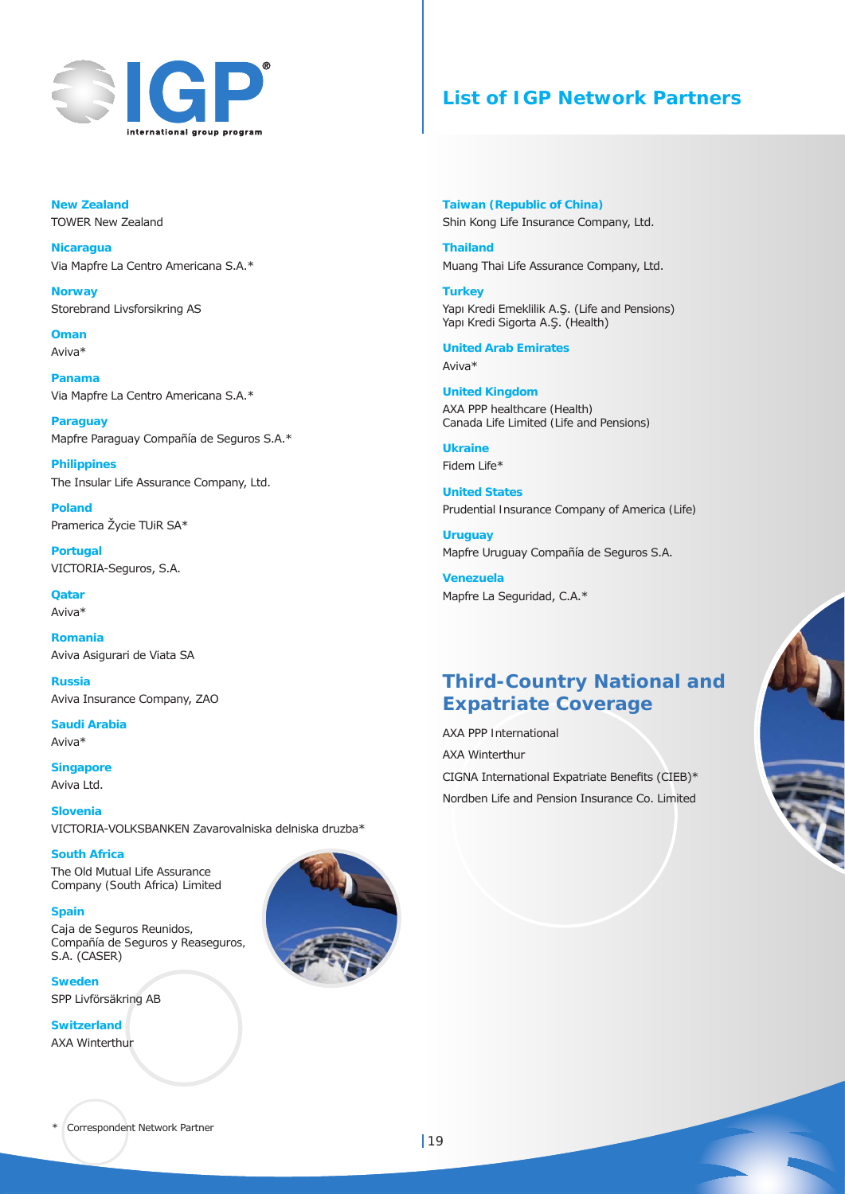

## **List of IGP Network Partners**

**New Zealand** TOWER New Zealand

**Nicaragua**  Via Mapfre La Centro Americana S.A.\*

**Norway** Storebrand Livsforsikring AS

**Oman** Aviva\*

**Panama** Via Mapfre La Centro Americana S.A.\*

**Paraguay** Mapfre Paraguay Compañía de Seguros S.A.\*

**Philippines** The Insular Life Assurance Company, Ltd.

**Poland** Pramerica Žycie TUiR SA\*

**Portugal** VICTORIA-Seguros, S.A.

**Qatar** Aviva\*

**Romania** Aviva Asigurari de Viata SA

**Russia** Aviva Insurance Company, ZAO

**Saudi Arabia** Aviva\*

**Singapore** Aviva Ltd.

**Slovenia** VICTORIA-VOLKSBANKEN Zavarovalniska delniska druzba\*

**South Africa** The Old Mutual Life Assurance

Company (South Africa) Limited

**Spain** Caja de Seguros Reunidos, Compañía de Seguros y Reaseguros,

S.A. (CASER) **Sweden**

SPP Livförsäkring AB

**Switzerland** AXA Winterthur



**Taiwan (Republic of China)** Shin Kong Life Insurance Company, Ltd.

**Thailand** Muang Thai Life Assurance Company, Ltd.

**Turkey** Yapı Kredi Emeklilik A.Ş. (Life and Pensions) Yapı Kredi Sigorta A.Ş. (Health)

**United Arab Emirates** Aviva\*

**United Kingdom** AXA PPP healthcare (Health) Canada Life Limited (Life and Pensions)

**Ukraine** Fidem Life\*

**United States** Prudential Insurance Company of America (Life)

**Uruguay** Mapfre Uruguay Compañía de Seguros S.A.

**Venezuela** Mapfre La Seguridad, C.A.\*

# **Third-Country National and Expatriate Coverage**

AXA PPP International AXA Winterthur CIGNA International Expatriate Benefits (CIEB)\* Nordben Life and Pension Insurance Co. Limited